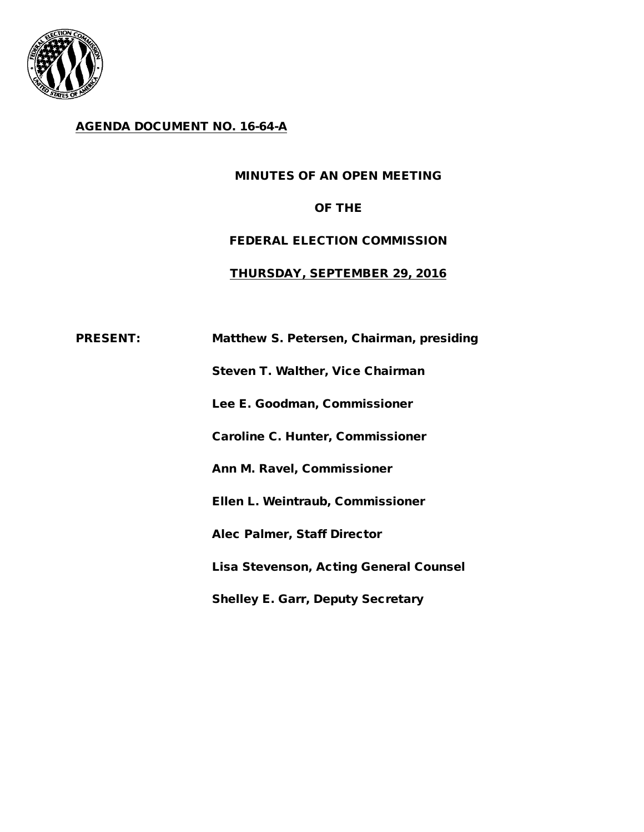

### AGENDA DOCUMENT NO. 16-64-A

### MINUTES OF AN OPEN MEETING

### OF THE

# FEDERAL ELECTION COMMISSION

#### THURSDAY, SEPTEMBER 29, 2016

# PRESENT: Matthew S. Petersen, Chairman, presiding

Steven T. Walther, Vice Chairman

Lee E. Goodman, Commissioner

Caroline C. Hunter, Commissioner

Ann M. Ravel, Commissioner

Ellen L. Weintraub, Commissioner

Alec Palmer, Staff Director

Lisa Stevenson, Acting General Counsel

Shelley E. Garr, Deputy Secretary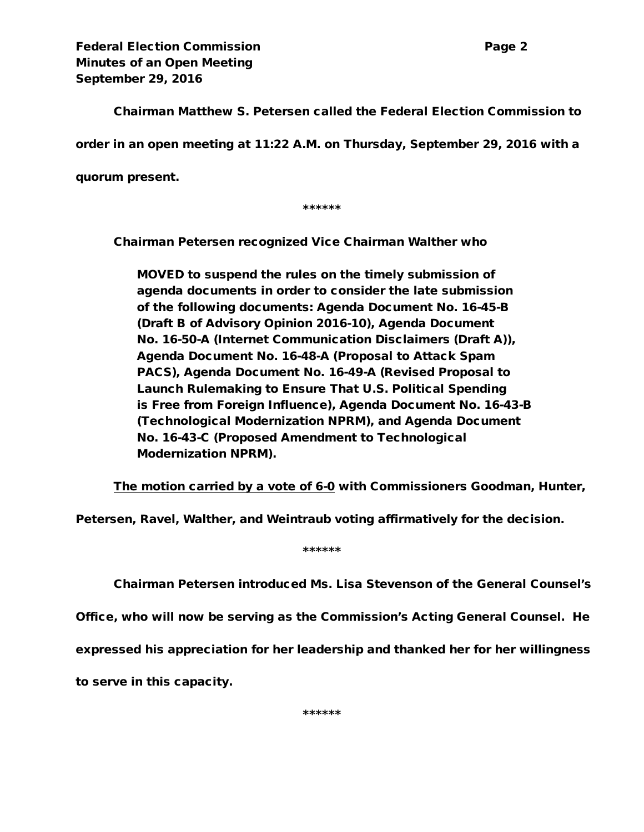Federal Election Commission **Page 2** and Page 2 Minutes of an Open Meeting September 29, 2016

Chairman Matthew S. Petersen called the Federal Election Commission to order in an open meeting at 11:22 A.M. on Thursday, September 29, 2016 with a

quorum present.

\*\*\*\*\*\*

Chairman Petersen recognized Vice Chairman Walther who

MOVED to suspend the rules on the timely submission of agenda documents in order to consider the late submission of the following documents: Agenda Document No. 16-45-B (Draft B of Advisory Opinion 2016-10), Agenda Document No. 16-50-A (Internet Communication Disclaimers (Draft A)), Agenda Document No. 16-48-A (Proposal to Attack Spam PACS), Agenda Document No. 16-49-A (Revised Proposal to Launch Rulemaking to Ensure That U.S. Political Spending is Free from Foreign Influence), Agenda Document No. 16-43-B (Technological Modernization NPRM), and Agenda Document No. 16-43-C (Proposed Amendment to Technological Modernization NPRM).

The motion carried by a vote of 6-0 with Commissioners Goodman, Hunter,

Petersen, Ravel, Walther, and Weintraub voting affirmatively for the decision.

\*\*\*\*\*\*

Chairman Petersen introduced Ms. Lisa Stevenson of the General Counsel's

Office, who will now be serving as the Commission's Acting General Counsel. He

expressed his appreciation for her leadership and thanked her for her willingness

to serve in this capacity.

\*\*\*\*\*\*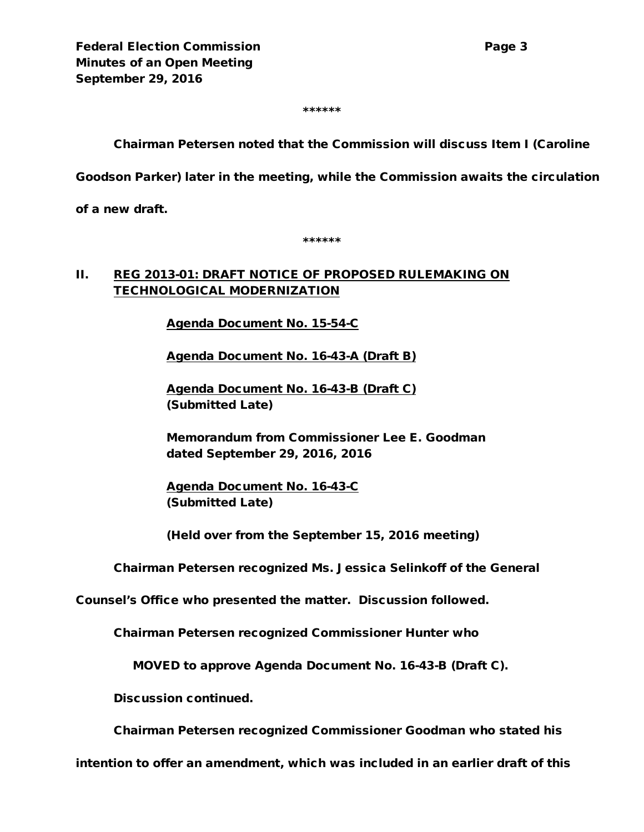\*\*\*\*\*\*

Chairman Petersen noted that the Commission will discuss Item I (Caroline

Goodson Parker) later in the meeting, while the Commission awaits the circulation

of a new draft.

\*\*\*\*\*\*

#### II. REG 2013-01: DRAFT NOTICE OF PROPOSED RULEMAKING ON TECHNOLOGICAL MODERNIZATION

Agenda Document No. 15-54-C

Agenda Document No. 16-43-A (Draft B)

Agenda Document No. 16-43-B (Draft C) (Submitted Late)

Memorandum from Commissioner Lee E. Goodman dated September 29, 2016, 2016

Agenda Document No. 16-43-C (Submitted Late)

(Held over from the September 15, 2016 meeting)

Chairman Petersen recognized Ms. Jessica Selinkoff of the General

Counsel's Office who presented the matter. Discussion followed.

Chairman Petersen recognized Commissioner Hunter who

MOVED to approve Agenda Document No. 16-43-B (Draft C).

Discussion continued.

Chairman Petersen recognized Commissioner Goodman who stated his

intention to offer an amendment, which was included in an earlier draft of this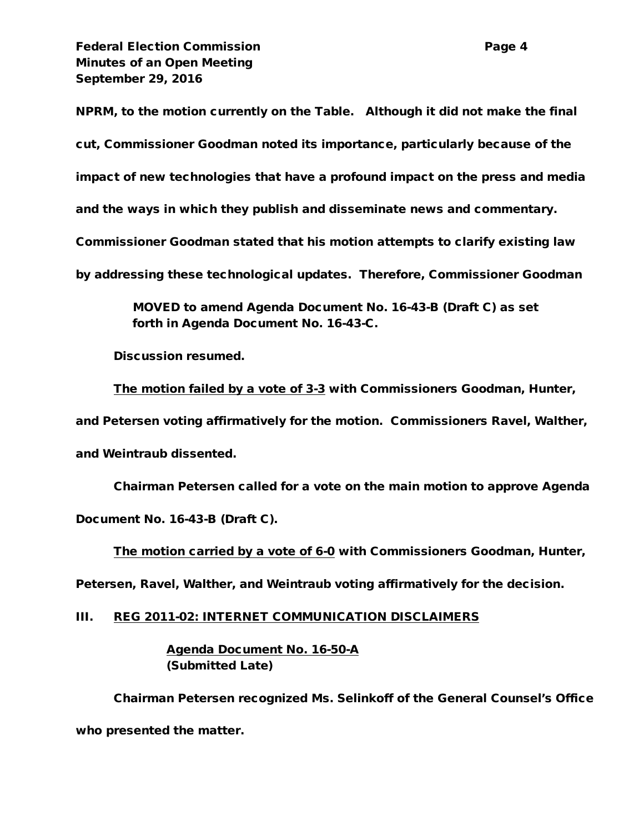**Federal Election Commission Page 4** Minutes of an Open Meeting September 29, 2016

NPRM, to the motion currently on the Table. Although it did not make the final cut, Commissioner Goodman noted its importance, particularly because of the impact of new technologies that have a profound impact on the press and media and the ways in which they publish and disseminate news and commentary. Commissioner Goodman stated that his motion attempts to clarify existing law by addressing these technological updates. Therefore, Commissioner Goodman

> MOVED to amend Agenda Document No. 16-43-B (Draft C) as set forth in Agenda Document No. 16-43-C.

Discussion resumed.

The motion failed by a vote of 3-3 with Commissioners Goodman, Hunter,

and Petersen voting affirmatively for the motion. Commissioners Ravel, Walther,

and Weintraub dissented.

Chairman Petersen called for a vote on the main motion to approve Agenda Document No. 16-43-B (Draft C).

The motion carried by a vote of 6-0 with Commissioners Goodman, Hunter,

Petersen, Ravel, Walther, and Weintraub voting affirmatively for the decision.

III. REG 2011-02: INTERNET COMMUNICATION DISCLAIMERS

Agenda Document No. 16-50-A (Submitted Late)

Chairman Petersen recognized Ms. Selinkoff of the General Counsel's Office who presented the matter.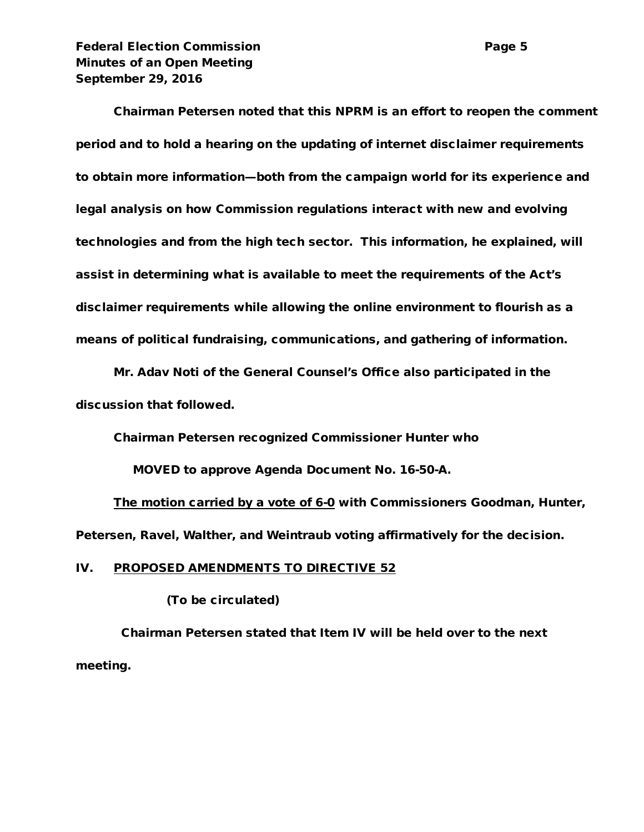Federal Election Commission **Page 5** Minutes of an Open Meeting September 29, 2016

Chairman Petersen noted that this NPRM is an effort to reopen the comment period and to hold a hearing on the updating of internet disclaimer requirements to obtain more information—both from the campaign world for its experience and legal analysis on how Commission regulations interact with new and evolving technologies and from the high tech sector. This information, he explained, will assist in determining what is available to meet the requirements of the Act's disclaimer requirements while allowing the online environment to flourish as a means of political fundraising, communications, and gathering of information.

Mr. Adav Noti of the General Counsel's Office also participated in the discussion that followed.

Chairman Petersen recognized Commissioner Hunter who

MOVED to approve Agenda Document No. 16-50-A.

The motion carried by a vote of 6-0 with Commissioners Goodman, Hunter, Petersen, Ravel, Walther, and Weintraub voting affirmatively for the decision.

#### IV. PROPOSED AMENDMENTS TO DIRECTIVE 52

(To be circulated)

Chairman Petersen stated that Item IV will be held over to the next meeting.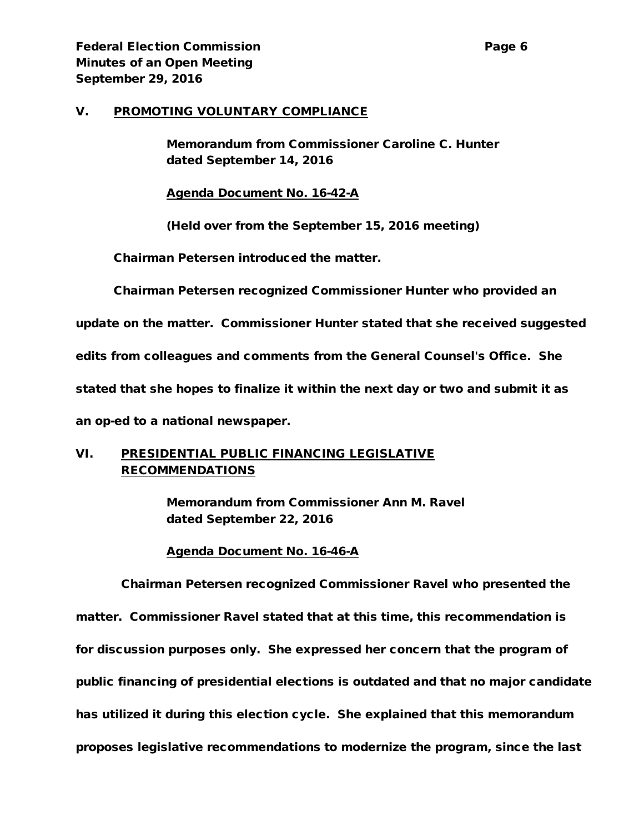#### V. PROMOTING VOLUNTARY COMPLIANCE

Memorandum from Commissioner Caroline C. Hunter dated September 14, 2016

Agenda Document No. 16-42-A

(Held over from the September 15, 2016 meeting)

Chairman Petersen introduced the matter.

Chairman Petersen recognized Commissioner Hunter who provided an

update on the matter. Commissioner Hunter stated that she received suggested

edits from colleagues and comments from the General Counsel's Office. She

stated that she hopes to finalize it within the next day or two and submit it as

an op-ed to a national newspaper.

# VI. PRESIDENTIAL PUBLIC FINANCING LEGISLATIVE RECOMMENDATIONS

Memorandum from Commissioner Ann M. Ravel dated September 22, 2016

Agenda Document No. 16-46-A

Chairman Petersen recognized Commissioner Ravel who presented the matter. Commissioner Ravel stated that at this time, this recommendation is for discussion purposes only. She expressed her concern that the program of public financing of presidential elections is outdated and that no major candidate has utilized it during this election cycle. She explained that this memorandum proposes legislative recommendations to modernize the program, since the last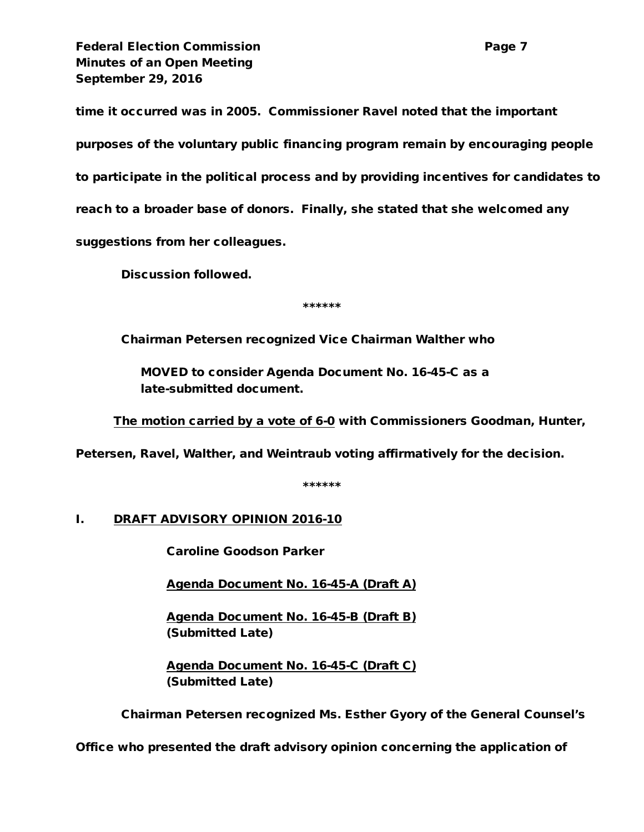Federal Election Commission **Page 7** and Page 7 Minutes of an Open Meeting September 29, 2016

time it occurred was in 2005. Commissioner Ravel noted that the important purposes of the voluntary public financing program remain by encouraging people to participate in the political process and by providing incentives for candidates to reach to a broader base of donors. Finally, she stated that she welcomed any suggestions from her colleagues.

Discussion followed.

\*\*\*\*\*\*

Chairman Petersen recognized Vice Chairman Walther who

MOVED to consider Agenda Document No. 16-45-C as a late-submitted document.

The motion carried by a vote of 6-0 with Commissioners Goodman, Hunter,

Petersen, Ravel, Walther, and Weintraub voting affirmatively for the decision.

\*\*\*\*\*\*

# I. DRAFT ADVISORY OPINION 2016-10

Caroline Goodson Parker

Agenda Document No. 16-45-A (Draft A)

Agenda Document No. 16-45-B (Draft B) (Submitted Late)

Agenda Document No. 16-45-C (Draft C) (Submitted Late)

Chairman Petersen recognized Ms. Esther Gyory of the General Counsel's

Office who presented the draft advisory opinion concerning the application of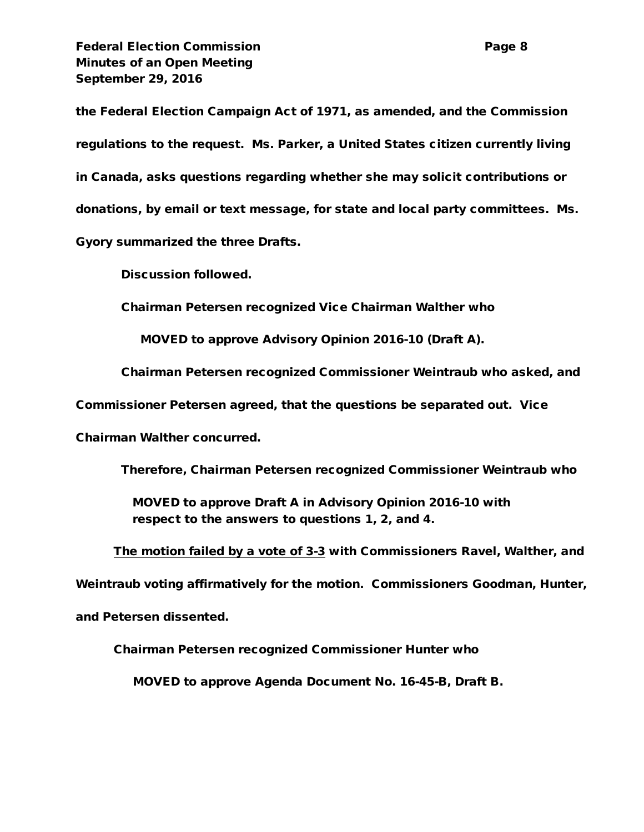Federal Election Commission **Page 8** Minutes of an Open Meeting September 29, 2016

the Federal Election Campaign Act of 1971, as amended, and the Commission regulations to the request. Ms. Parker, a United States citizen currently living in Canada, asks questions regarding whether she may solicit contributions or donations, by email or text message, for state and local party committees. Ms. Gyory summarized the three Drafts.

Discussion followed.

Chairman Petersen recognized Vice Chairman Walther who

MOVED to approve Advisory Opinion 2016-10 (Draft A).

Chairman Petersen recognized Commissioner Weintraub who asked, and

Commissioner Petersen agreed, that the questions be separated out. Vice

Chairman Walther concurred.

Therefore, Chairman Petersen recognized Commissioner Weintraub who

MOVED to approve Draft A in Advisory Opinion 2016-10 with respect to the answers to questions 1, 2, and 4.

The motion failed by a vote of 3-3 with Commissioners Ravel, Walther, and

Weintraub voting affirmatively for the motion. Commissioners Goodman, Hunter,

and Petersen dissented.

Chairman Petersen recognized Commissioner Hunter who

MOVED to approve Agenda Document No. 16-45-B, Draft B.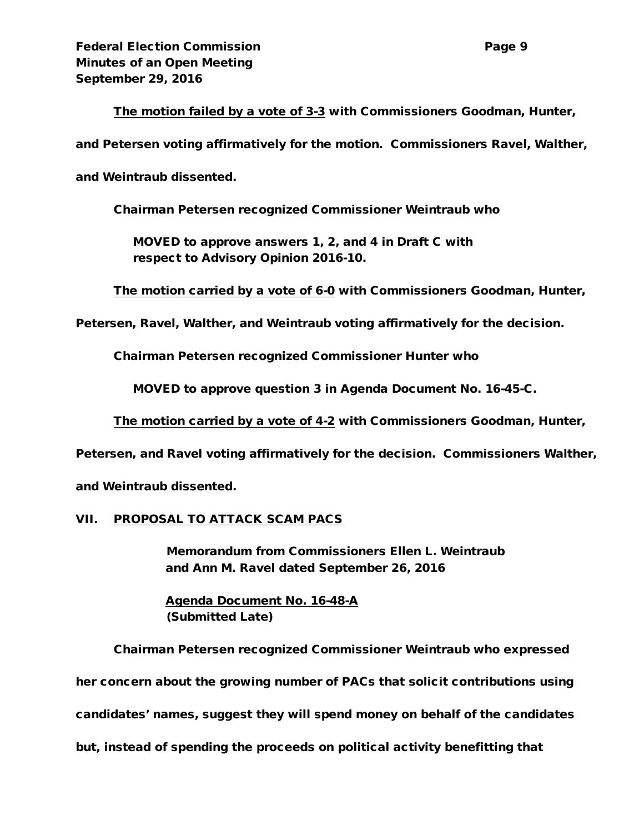### The motion failed by a vote of 3-3 with Commissioners Goodman, Hunter,

and Petersen voting affirmatively for the motion. Commissioners Ravel, Walther,

and Weintraub dissented.

Chairman Petersen recognized Commissioner Weintraub who

 MOVED to approve answers 1, 2, and 4 in Draft C with respect to Advisory Opinion 2016-10.

The motion carried by a vote of 6-0 with Commissioners Goodman, Hunter,

Petersen, Ravel, Walther, and Weintraub voting affirmatively for the decision.

Chairman Petersen recognized Commissioner Hunter who

MOVED to approve question 3 in Agenda Document No. 16-45-C.

The motion carried by a vote of 4-2 with Commissioners Goodman, Hunter,

Petersen, and Ravel voting affirmatively for the decision. Commissioners Walther,

and Weintraub dissented.

#### VII. PROPOSAL TO ATTACK SCAM PACS

Memorandum from Commissioners Ellen L. Weintraub and Ann M. Ravel dated September 26, 2016

Agenda Document No. 16-48-A (Submitted Late)

Chairman Petersen recognized Commissioner Weintraub who expressed her concern about the growing number of PACs that solicit contributions using candidates' names, suggest they will spend money on behalf of the candidates but, instead of spending the proceeds on political activity benefitting that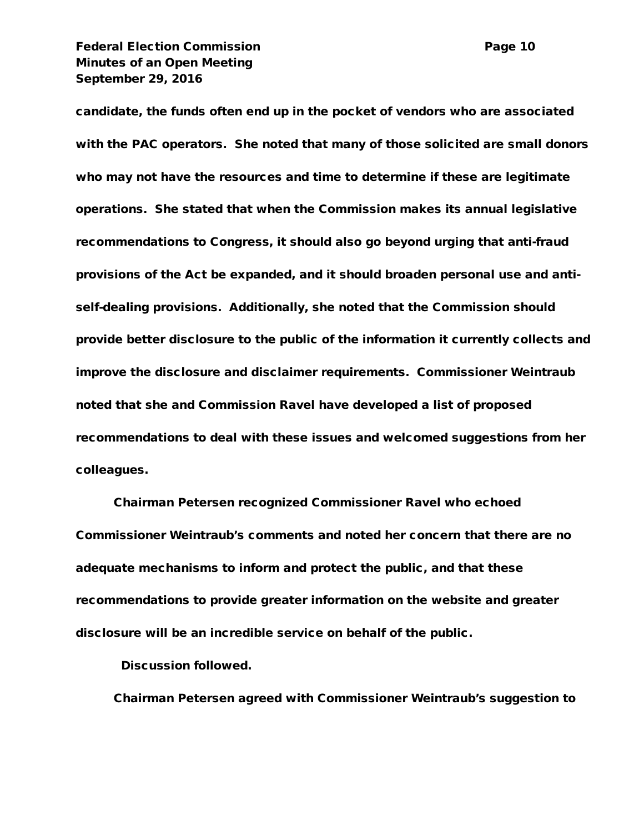Federal Election Commission **Page 10** Minutes of an Open Meeting September 29, 2016

candidate, the funds often end up in the pocket of vendors who are associated with the PAC operators. She noted that many of those solicited are small donors who may not have the resources and time to determine if these are legitimate operations. She stated that when the Commission makes its annual legislative recommendations to Congress, it should also go beyond urging that anti-fraud provisions of the Act be expanded, and it should broaden personal use and antiself-dealing provisions. Additionally, she noted that the Commission should provide better disclosure to the public of the information it currently collects and improve the disclosure and disclaimer requirements. Commissioner Weintraub noted that she and Commission Ravel have developed a list of proposed recommendations to deal with these issues and welcomed suggestions from her colleagues.

Chairman Petersen recognized Commissioner Ravel who echoed Commissioner Weintraub's comments and noted her concern that there are no adequate mechanisms to inform and protect the public, and that these recommendations to provide greater information on the website and greater disclosure will be an incredible service on behalf of the public.

Discussion followed.

Chairman Petersen agreed with Commissioner Weintraub's suggestion to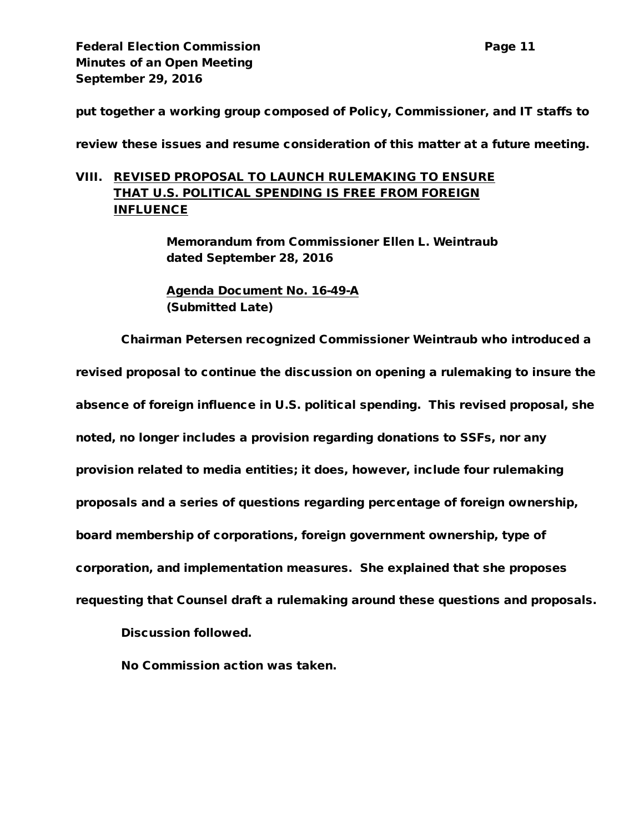put together a working group composed of Policy, Commissioner, and IT staffs to

review these issues and resume consideration of this matter at a future meeting.

# VIII. REVISED PROPOSAL TO LAUNCH RULEMAKING TO ENSURE THAT U.S. POLITICAL SPENDING IS FREE FROM FOREIGN INFLUENCE

Memorandum from Commissioner Ellen L. Weintraub dated September 28, 2016

Agenda Document No. 16-49-A (Submitted Late)

Chairman Petersen recognized Commissioner Weintraub who introduced a

revised proposal to continue the discussion on opening a rulemaking to insure the absence of foreign influence in U.S. political spending. This revised proposal, she noted, no longer includes a provision regarding donations to SSFs, nor any provision related to media entities; it does, however, include four rulemaking proposals and a series of questions regarding percentage of foreign ownership, board membership of corporations, foreign government ownership, type of corporation, and implementation measures. She explained that she proposes requesting that Counsel draft a rulemaking around these questions and proposals.

Discussion followed.

No Commission action was taken.